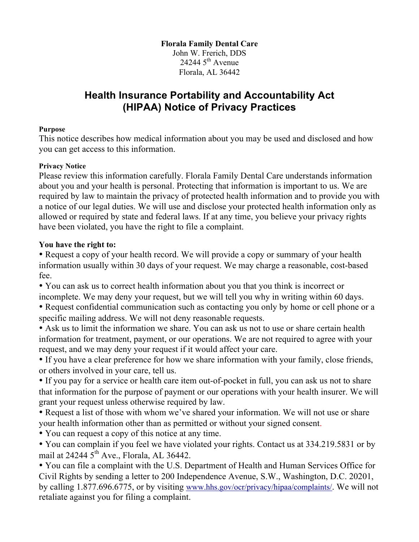## **Florala Family Dental Care**

John W. Frerich, DDS 24244  $5<sup>th</sup>$  Avenue Florala, AL 36442

# **Health Insurance Portability and Accountability Act (HIPAA) Notice of Privacy Practices**

#### **Purpose**

This notice describes how medical information about you may be used and disclosed and how you can get access to this information.

### **Privacy Notice**

Please review this information carefully. Florala Family Dental Care understands information about you and your health is personal. Protecting that information is important to us. We are required by law to maintain the privacy of protected health information and to provide you with a notice of our legal duties. We will use and disclose your protected health information only as allowed or required by state and federal laws. If at any time, you believe your privacy rights have been violated, you have the right to file a complaint.

### **You have the right to:**

• Request a copy of your health record. We will provide a copy or summary of your health information usually within 30 days of your request. We may charge a reasonable, cost-based fee.

• You can ask us to correct health information about you that you think is incorrect or incomplete. We may deny your request, but we will tell you why in writing within 60 days.

• Request confidential communication such as contacting you only by home or cell phone or a specific mailing address. We will not deny reasonable requests.

• Ask us to limit the information we share. You can ask us not to use or share certain health information for treatment, payment, or our operations. We are not required to agree with your request, and we may deny your request if it would affect your care.

• If you have a clear preference for how we share information with your family, close friends, or others involved in your care, tell us.

• If you pay for a service or health care item out-of-pocket in full, you can ask us not to share that information for the purpose of payment or our operations with your health insurer. We will grant your request unless otherwise required by law.

• Request a list of those with whom we've shared your information. We will not use or share your health information other than as permitted or without your signed consent.

• You can request a copy of this notice at any time.

• You can complain if you feel we have violated your rights. Contact us at 334.219.5831 or by mail at 24244  $5<sup>th</sup>$  Ave., Florala, AL 36442.

• You can file a complaint with the U.S. Department of Health and Human Services Office for Civil Rights by sending a letter to 200 Independence Avenue, S.W., Washington, D.C. 20201, by calling 1.877.696.6775, or by visiting www.hhs.gov/ocr/privacy/hipaa/complaints/. We will not retaliate against you for filing a complaint.